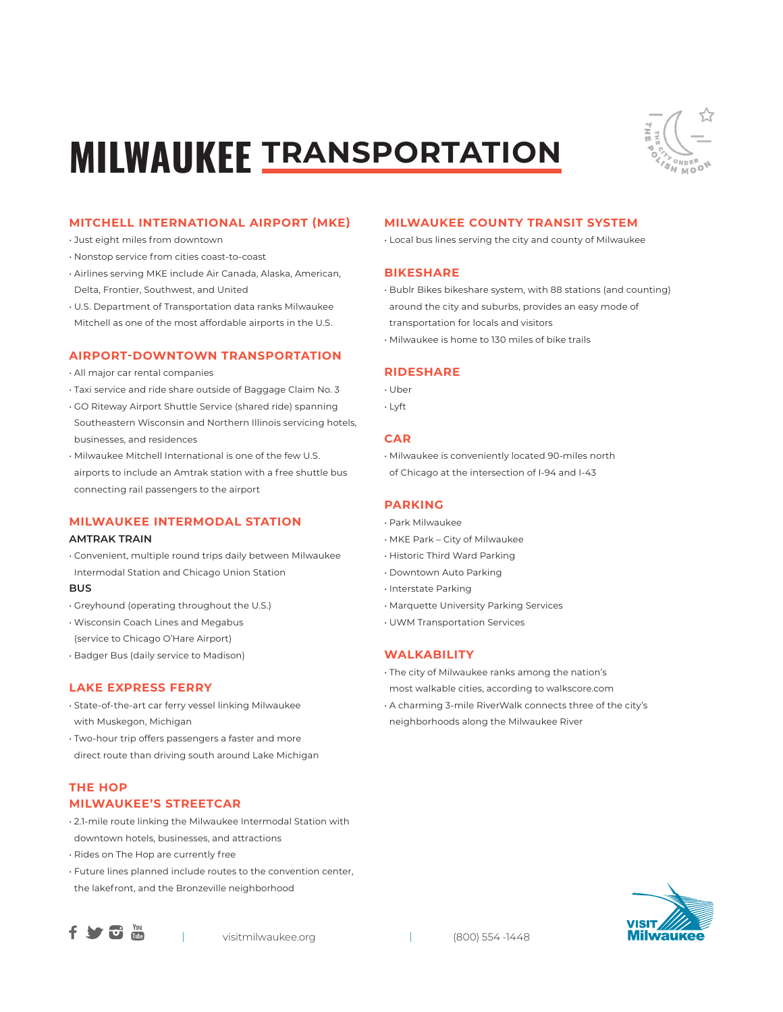# **MILWAUKEE TRANSPORTATION**



# **MITCHELL INTERNATIONAL AIRPORT (MKE)**

- Just eight miles from downtown
- Nonstop service from cities coast-to-coast
- Airlines serving MKE include Air Canada, Alaska, American, Delta, Frontier, Southwest, and United
- U.S. Department of Transportation data ranks Milwaukee Mitchell as one of the most affordable airports in the U.S.

### **AIRPORT-DOWNTOWN TRANSPORTATION**

- All major car rental companies
- Taxi service and ride share outside of Baggage Claim No. 3
- GO Riteway Airport Shuttle Service (shared ride) spanning Southeastern Wisconsin and Northern Illinois servicing hotels, businesses, and residences
- Milwaukee Mitchell International is one of the few U.S. airports to include an Amtrak station with a free shuttle bus connecting rail passengers to the airport

# **MILWAUKEE INTERMODAL STATION**

### **AMTRAK TRAIN**

• Convenient, multiple round trips daily between Milwaukee Intermodal Station and Chicago Union Station

### **BUS**

- Greyhound (operating throughout the U.S.)
- Wisconsin Coach Lines and Megabus
- (service to Chicago O'Hare Airport)
- Badger Bus (daily service to Madison)

# **LAKE EXPRESS FERRY**

- State-of-the-art car ferry vessel linking Milwaukee with Muskegon, Michigan
- Two-hour trip offers passengers a faster and more direct route than driving south around Lake Michigan

# **THE HOP MILWAUKEE'S STREETCAR**

- 2.1-mile route linking the Milwaukee Intermodal Station with downtown hotels, businesses, and attractions
- Rides on The Hop are currently free
- Future lines planned include routes to the convention center, the lakefront, and the Bronzeville neighborhood





# **MILWAUKEE COUNTY TRANSIT SYSTEM**

• Local bus lines serving the city and county of Milwaukee

### **BIKESHARE**

- Bublr Bikes bikeshare system, with 88 stations (and counting) around the city and suburbs, provides an easy mode of
- transportation for locals and visitors
- Milwaukee is home to 130 miles of bike trails

# **RIDESHARE**

- Uber
- Lyft

### **CAR**

• Milwaukee is conveniently located 90-miles north of Chicago at the intersection of I-94 and I-43

### **PARKING**

- Park Milwaukee
- MKE Park City of Milwaukee
- Historic Third Ward Parking
- Downtown Auto Parking
- Interstate Parking
- Marquette University Parking Services
- UWM Transportation Services

# **WALKABILITY**

• The city of Milwaukee ranks among the nation's most walkable cities, according to walkscore.com

- A charming 3-mile RiverWalk connects three of the city's
- neighborhoods along the Milwaukee River